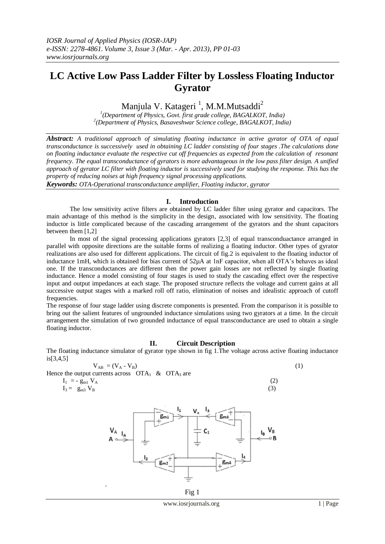# **LC Active Low Pass Ladder Filter by Lossless Floating Inductor Gyrator**

# Manjula V. Katageri<sup>1</sup>, M.M.Mutsaddi<sup>2</sup>

*1 (Department of Physics, Govt. first grade college, BAGALKOT, India) 2 (Department of Physics, Basaveshwar Science college, BAGALKOT, India)*

*Abstract: A traditional approach of simulating floating inductance in active gyrator of OTA of equal transconductance is successively used in obtaining LC ladder consisting of four stages .The calculations done on floating inductance evaluate the respective cut off frequencies as expected from the calculation of resonant frequency. The equal transconductance of gyrators is more advantageous in the low pass filter design. A unified approach of gyrator LC filter with floating inductor is successively used for studying the response. This has the property of reducing noises at high frequency signal processing applications.*

*Keywords: OTA-Operational transconductance amplifier, Floating inductor, gyrator*

## **I. Introduction**

The low sensitivity active filters are obtained by LC ladder filter using gyrator and capacitors. The main advantage of this method is the simplicity in the design, associated with low sensitivity. The floating inductor is little complicated because of the cascading arrangement of the gyrators and the shunt capacitors between them [1,2]

In most of the signal processing applications gyrators [2,3] of equal transconduactance arranged in parallel with opposite directions are the suitable forms of realizing a floating inductor. Other types of gyrator realizations are also used for different applications. The circuit of fig.2 is equivalent to the floating inductor of inductance 1mH, which is obtained for bias current of 52µA at 1nF capacitor, when all OTA's behaves as ideal one. If the transconductances are different then the power gain losses are not reflected by single floating inductance. Hence a model consisting of four stages is used to study the cascading effect over the respective input and output impedances at each stage. The proposed structure reflects the voltage and current gains at all successive output stages with a marked roll off ratio, elimination of noises and idealistic approach of cutoff frequencies.

The response of four stage ladder using discrete components is presented. From the comparison it is possible to bring out the salient features of ungrounded inductance simulations using two gyrators at a time. In the circuit arrangement the simulation of two grounded inductance of equal transconductance are used to obtain a single floating inductor.

## **II. Circuit Description**

The floating inductance simulator of gyrator type shown in fig 1.The voltage across active floating inductance is[3,4,5]

$$
V_{AB} = (V_A - V_B)
$$
  
currents across  $OTA_1$  &  $OTA_3$  are (1)

Hence the output

$$
I_1 = -g_{m1} V_A
$$
  
\n
$$
I_3 = g_{m3} V_B
$$
\n(2)



Fig 1

www.iosrjournals.org 1 | Page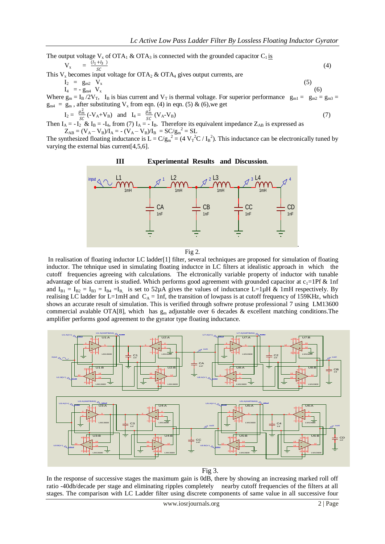The output voltage  $V_x$  of OTA<sub>1</sub> & OTA<sub>3</sub> is connected with the grounded capacitor C<sub>1</sub> is  $V_{x} = \frac{(l_{1} + l_{3})}{c^{c}}$  $\frac{1}{s}$  (4)

This  $V_x$  becomes input voltage for OTA<sub>2</sub> & OTA<sub>4</sub> gives output currents, are

$$
I_2 = g_{m2} V_x \tag{5}
$$

 $I_4 = -g_{m4} V_x$  (6)

Where  $g_m = I_B / 2V_T$ ,  $I_B$  is bias current and  $V_T$  is thermal voltage. For superior performance  $g_{m1} = g_{m2} = g_{m3}$  $g_{m4} = g_m$ , after substituting  $V_x$  from eqn. (4) in eqn. (5) & (6), we get

$$
\mathbf{I}_2 = \frac{g_m^2}{sc} \left( -\mathbf{V}_A + \mathbf{V}_B \right) \quad \text{and} \quad \mathbf{I}_4 = \frac{g_m^2}{sc} \left( \mathbf{V}_A - \mathbf{V}_B \right) \tag{7}
$$

Then  $I_A = -I_2$  &  $I_B = -I_4$ , from (7)  $I_A = -I_B$ . Therefore its equivalent impedance  $Z_{AB}$  is expressed as  $Z_{AB} = (V_A - V_B)/I_A = - (V_A - V_B)/I_B = SC/g_m^2 = SL$ 

The synthesized floating inductance is  $L = C/g_m^2 = (4 V_T^2 C / I_B^2)$ . This inductance can be electronically tuned by varying the external bias current[4,5,6].



Fig 2.

In realisation of floating inductor LC ladder[1] filter, several techniques are proposed for simulation of floating inductor. The tehnique used in simulating floating inductce in LC filters at idealistic approach in which the cutoff frequencies agreeing with calculations. The elctronically variable property of inductor with tunable advantage of bias current is studied. Which performs good agreement with grounded capacitor at  $c_1=1$  Pf & 1nf and  $I_{B1} = I_{B2} = I_{B3} = I_{B4} = I_{B}$ , is set to 52 $\mu$ A gives the values of inductance L=1 $\mu$ H & 1mH respectively. By realising LC ladder for L=1mH and  $C_A = 1$ nf, the transition of lowpass is at cutoff frequency of 159KHz, which shows an accurate result of simulation. This is verified through softwre protuse professional 7 using LM13600 commercial avalable OTA[8], which has  $g_m$  adjustable over 6 decades & excellent matching conditions. The amplifier performs good agreement to the gyrator type floating inductance.



Fig 3.

In the response of successive stages the maximum gain is 0dB, there by showing an increasing marked roll off ratio -40db/decade per stage and eliminating ripples completely nearby cutoff frequencies of the filters at all stages. The comparison with LC Ladder filter using discrete components of same value in all successive four